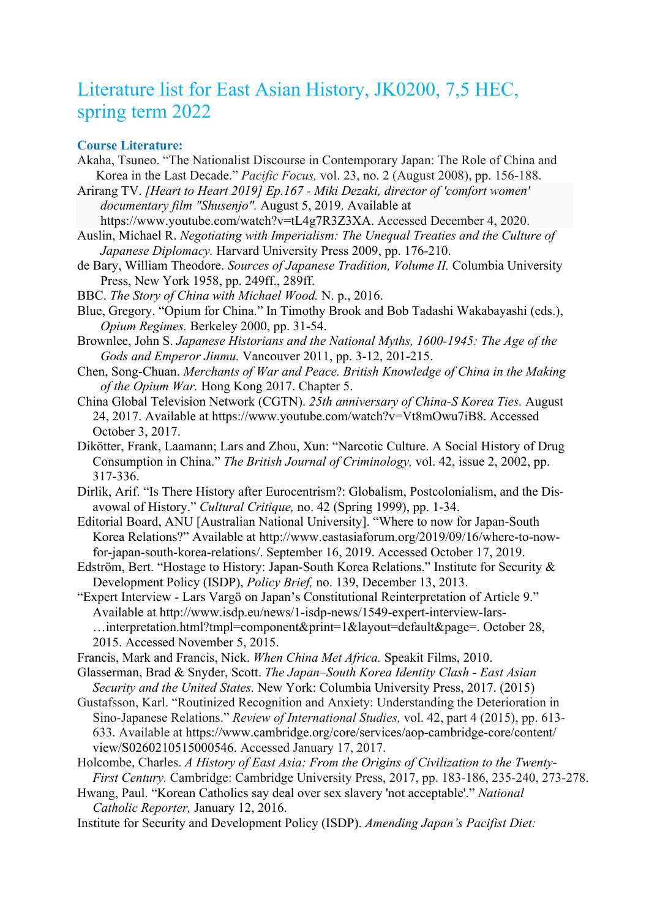## Literature list for East Asian History, JK0200, 7,5 HEC, spring term 2022

## **Course Literature:**

- Akaha, Tsuneo. "The Nationalist Discourse in Contemporary Japan: The Role of China and Korea in the Last Decade." *Pacific Focus,* vol. 23, no. 2 (August 2008), pp. 156-188.
- Arirang TV. *[Heart to Heart 2019] Ep.167 - Miki Dezaki, director of 'comfort women' documentary film "Shusenjo".* August 5, 2019. Available at
	- https://www.youtube.com/watch?v=tL4g7R3Z3XA. Accessed December 4, 2020.
- Auslin, Michael R. *Negotiating with Imperialism: The Unequal Treaties and the Culture of Japanese Diplomacy.* Harvard University Press 2009, pp. 176-210.
- de Bary, William Theodore. *Sources of Japanese Tradition, Volume II.* Columbia University Press, New York 1958, pp. 249ff., 289ff.
- BBC. *The Story of China with Michael Wood.* N. p., 2016.
- Blue, Gregory. "Opium for China." In Timothy Brook and Bob Tadashi Wakabayashi (eds.), *Opium Regimes.* Berkeley 2000, pp. 31-54.
- Brownlee, John S. *Japanese Historians and the National Myths, 1600-1945: The Age of the Gods and Emperor Jinmu.* Vancouver 2011, pp. 3-12, 201-215.
- Chen, Song-Chuan. *Merchants of War and Peace. British Knowledge of China in the Making of the Opium War.* Hong Kong 2017. Chapter 5.
- China Global Television Network (CGTN). *25th anniversary of China-S Korea Ties.* August 24, 2017. Available at https://www.youtube.com/watch?v=Vt8mOwu7iB8. Accessed October 3, 2017.
- Dikötter, Frank, Laamann; Lars and Zhou, Xun: "Narcotic Culture. A Social History of Drug Consumption in China." *The British Journal of Criminology,* vol. 42, issue 2, 2002, pp. 317-336.
- Dirlik, Arif. "Is There History after Eurocentrism?: Globalism, Postcolonialism, and the Disavowal of History." *Cultural Critique,* no. 42 (Spring 1999), pp. 1-34.
- Editorial Board, ANU [Australian National University]. "Where to now for Japan-South Korea Relations?" Available at http://www.eastasiaforum.org/2019/09/16/where-to-nowfor-japan-south-korea-relations/. September 16, 2019. Accessed October 17, 2019.
- Edström, Bert. "Hostage to History: Japan-South Korea Relations." Institute for Security & Development Policy (ISDP), *Policy Brief,* no. 139, December 13, 2013.
- "Expert Interview Lars Vargö on Japan's Constitutional Reinterpretation of Article 9." Available at http://www.isdp.eu/news/1-isdp-news/1549-expert-interview-lars- …interpretation.html?tmpl=component&print=1&layout=default&page=. October 28, 2015. Accessed November 5, 2015.
- Francis, Mark and Francis, Nick. *When China Met Africa.* Speakit Films, 2010.
- Glasserman, Brad & Snyder, Scott. *The Japan–South Korea Identity Clash - East Asian Security and the United States.* New York: Columbia University Press, 2017. (2015)
- Gustafsson, Karl. "Routinized Recognition and Anxiety: Understanding the Deterioration in Sino-Japanese Relations." *Review of International Studies,* vol. 42, part 4 (2015), pp. 613- 633. Available at https://www.cambridge.org/core/services/aop-cambridge-core/content/ view/S0260210515000546. Accessed January 17, 2017.
- Holcombe, Charles. *A History of East Asia: From the Origins of Civilization to the Twenty-First Century.* Cambridge: Cambridge University Press, 2017, pp. 183-186, 235-240, 273-278.

Hwang, Paul. "Korean Catholics say deal over sex slavery 'not acceptable'." *National Catholic Reporter,* January 12, 2016.

Institute for Security and Development Policy (ISDP). *Amending Japan's Pacifist Diet:*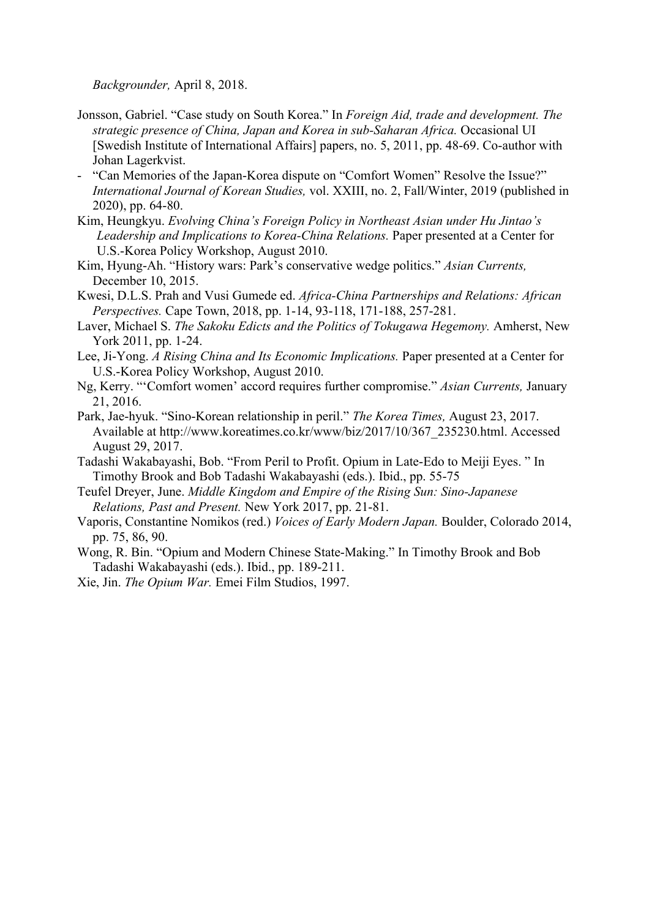*Backgrounder,* April 8, 2018.

- Jonsson, Gabriel. "Case study on South Korea." In *Foreign Aid, trade and development. The strategic presence of China, Japan and Korea in sub-Saharan Africa.* Occasional UI [Swedish Institute of International Affairs] papers, no. 5, 2011, pp. 48-69. Co-author with Johan Lagerkvist.
- "Can Memories of the Japan-Korea dispute on "Comfort Women" Resolve the Issue?" *International Journal of Korean Studies,* vol. XXIII, no. 2, Fall/Winter, 2019 (published in 2020), pp. 64-80.
- Kim, Heungkyu. *Evolving China's Foreign Policy in Northeast Asian under Hu Jintao's Leadership and Implications to Korea-China Relations.* Paper presented at a Center for U.S.-Korea Policy Workshop, August 2010.
- Kim, Hyung-Ah. "History wars: Park's conservative wedge politics." *Asian Currents,* December 10, 2015.
- Kwesi, D.L.S. Prah and Vusi Gumede ed. *Africa-China Partnerships and Relations: African Perspectives.* Cape Town, 2018, pp. 1-14, 93-118, 171-188, 257-281.
- Laver, Michael S. *The Sakoku Edicts and the Politics of Tokugawa Hegemony.* Amherst, New York 2011, pp. 1-24.
- Lee, Ji-Yong. *A Rising China and Its Economic Implications.* Paper presented at a Center for U.S.-Korea Policy Workshop, August 2010.
- Ng, Kerry. "'Comfort women' accord requires further compromise." *Asian Currents,* January 21, 2016.
- Park, Jae-hyuk. "Sino-Korean relationship in peril." *The Korea Times,* August 23, 2017. Available at http://www.koreatimes.co.kr/www/biz/2017/10/367\_235230.html. Accessed August 29, 2017.
- Tadashi Wakabayashi, Bob. "From Peril to Profit. Opium in Late-Edo to Meiji Eyes. " In Timothy Brook and Bob Tadashi Wakabayashi (eds.). Ibid., pp. 55-75
- Teufel Dreyer, June. *Middle Kingdom and Empire of the Rising Sun: Sino-Japanese Relations, Past and Present.* New York 2017, pp. 21-81.
- Vaporis, Constantine Nomikos (red.) *Voices of Early Modern Japan.* Boulder, Colorado 2014, pp. 75, 86, 90.
- Wong, R. Bin. "Opium and Modern Chinese State-Making." In Timothy Brook and Bob Tadashi Wakabayashi (eds.). Ibid., pp. 189-211.

Xie, Jin. *The Opium War.* Emei Film Studios, 1997.